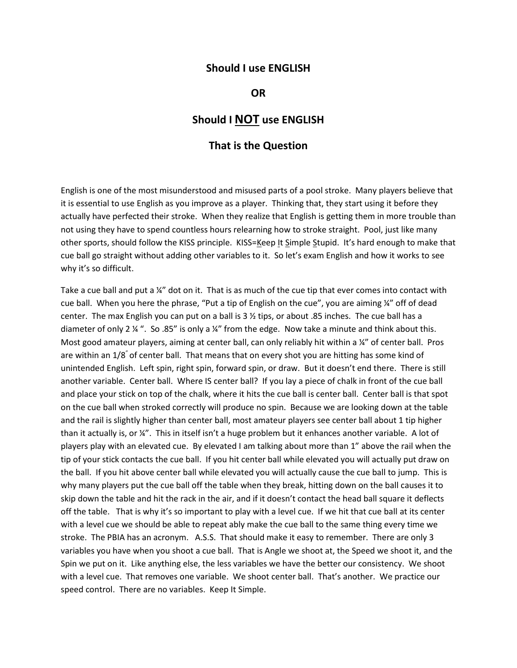## **Should I use ENGLISH**

## **OR**

## **Should I NOT use ENGLISH**

## **That is the Question**

English is one of the most misunderstood and misused parts of a pool stroke. Many players believe that it is essential to use English as you improve as a player. Thinking that, they start using it before they actually have perfected their stroke. When they realize that English is getting them in more trouble than not using they have to spend countless hours relearning how to stroke straight. Pool, just like many other sports, should follow the KISS principle. KISS=Keep It Simple Stupid. It's hard enough to make that cue ball go straight without adding other variables to it. So let's exam English and how it works to see why it's so difficult.

Take a cue ball and put a ¼" dot on it. That is as much of the cue tip that ever comes into contact with cue ball. When you here the phrase, "Put a tip of English on the cue", you are aiming ¼" off of dead center. The max English you can put on a ball is  $3\frac{1}{2}$  tips, or about .85 inches. The cue ball has a diameter of only 2 ¼ ". So .85" is only a ¼" from the edge. Now take a minute and think about this. Most good amateur players, aiming at center ball, can only reliably hit within a ¼" of center ball. Pros are within an 1/8" of center ball. That means that on every shot you are hitting has some kind of unintended English. Left spin, right spin, forward spin, or draw. But it doesn't end there. There is still another variable. Center ball. Where IS center ball? If you lay a piece of chalk in front of the cue ball and place your stick on top of the chalk, where it hits the cue ball is center ball. Center ball is that spot on the cue ball when stroked correctly will produce no spin. Because we are looking down at the table and the rail is slightly higher than center ball, most amateur players see center ball about 1 tip higher than it actually is, or ¼". This in itself isn't a huge problem but it enhances another variable. A lot of players play with an elevated cue. By elevated I am talking about more than 1" above the rail when the tip of your stick contacts the cue ball. If you hit center ball while elevated you will actually put draw on the ball. If you hit above center ball while elevated you will actually cause the cue ball to jump. This is why many players put the cue ball off the table when they break, hitting down on the ball causes it to skip down the table and hit the rack in the air, and if it doesn't contact the head ball square it deflects off the table. That is why it's so important to play with a level cue. If we hit that cue ball at its center with a level cue we should be able to repeat ably make the cue ball to the same thing every time we stroke. The PBIA has an acronym. A.S.S. That should make it easy to remember. There are only 3 variables you have when you shoot a cue ball. That is Angle we shoot at, the Speed we shoot it, and the Spin we put on it. Like anything else, the less variables we have the better our consistency. We shoot with a level cue. That removes one variable. We shoot center ball. That's another. We practice our speed control. There are no variables. Keep It Simple.